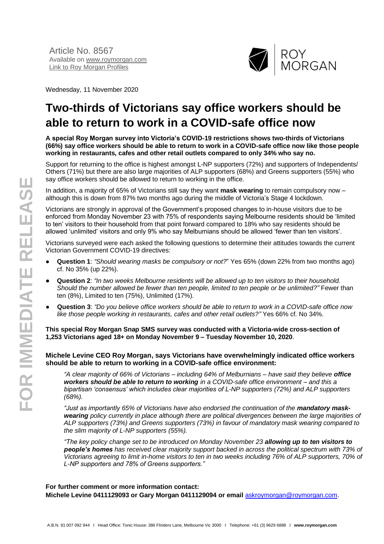

Wednesday, 11 November 2020

# **Two-thirds of Victorians say office workers should be able to return to work in a COVID-safe office now**

**A special Roy Morgan survey into Victoria's COVID-19 restrictions shows two-thirds of Victorians (66%) say office workers should be able to return to work in a COVID-safe office now like those people working in restaurants, cafes and other retail outlets compared to only 34% who say no.**

Support for returning to the office is highest amongst L-NP supporters (72%) and supporters of Independents/ Others (71%) but there are also large majorities of ALP supporters (68%) and Greens supporters (55%) who say office workers should be allowed to return to working in the office.

In addition, a majority of 65% of Victorians still say they want **mask wearing** to remain compulsory now – although this is down from 87% two months ago during the middle of Victoria's Stage 4 lockdown.

Victorians are strongly in approval of the Government's proposed changes to in-house visitors due to be enforced from Monday November 23 with 75% of respondents saying Melbourne residents should be 'limited to ten' visitors to their household from that point forward compared to 18% who say residents should be allowed 'unlimited' visitors and only 9% who say Melburnians should be allowed 'fewer than ten visitors'.

Victorians surveyed were each asked the following questions to determine their attitudes towards the current Victorian Government COVID-19 directives:

- **Question 1**: *"Should wearing masks be compulsory or not?*" Yes 65% (down 22% from two months ago) cf. No 35% (up 22%).
- **Question 2**: *"In two weeks Melbourne residents will be allowed up to ten visitors to their household.*  Should the number allowed be fewer than ten people, limited to ten people or be unlimited?" Fewer than ten (8%), Limited to ten (75%), Unlimited (17%).
- **Question 3**: *"Do you believe office workers should be able to return to work in a COVID-safe office now like those people working in restaurants, cafes and other retail outlets?"* Yes 66% cf. No 34%.

**This special Roy Morgan Snap SMS survey was conducted with a Victoria-wide cross-section of 1,253 Victorians aged 18+ on Monday November 9 – Tuesday November 10, 2020**.

#### **Michele Levine CEO Roy Morgan, says Victorians have overwhelmingly indicated office workers should be able to return to working in a COVID-safe office environment:**

*"A clear majority of 66% of Victorians – including 64% of Melburnians – have said they believe office workers should be able to return to working in a COVID-safe office environment – and this a bipartisan 'consensus' which includes clear majorities of L-NP supporters (72%) and ALP supporters (68%).*

*"Just as importantly 65% of Victorians have also endorsed the continuation of the mandatory maskwearing policy currently in place although there are political divergences between the large majorities of ALP supporters (73%) and Greens supporters (73%) in favour of mandatory mask wearing compared to the slim majority of L-NP supporters (55%).*

*"The key policy change set to be introduced on Monday November 23 allowing up to ten visitors to people's homes has received clear majority support backed in across the political spectrum with 73% of Victorians agreeing to limit in-home visitors to ten in two weeks including 76% of ALP supporters, 70% of L-NP supporters and 78% of Greens supporters."* 

#### **For further comment or more information contact: Michele Levine 0411129093 or Gary Morgan 0411129094 or email** [askroymorgan@roymorgan.com](mailto:askroymorgan@roymorgan.com).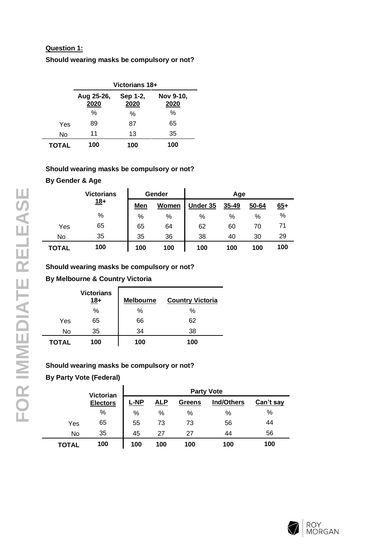# **Question 1:**

**Should wearing masks be compulsory or not?**

|              | Victorians 18+     |                  |                   |  |  |  |  |
|--------------|--------------------|------------------|-------------------|--|--|--|--|
|              | Aug 25-26,<br>2020 | Sep 1-2,<br>2020 | Nov 9-10,<br>2020 |  |  |  |  |
|              | %                  | %                | ℅                 |  |  |  |  |
| Yes          | 89                 | 87               | 65                |  |  |  |  |
| No           | 11                 | 13               | 35                |  |  |  |  |
| <b>TOTAL</b> | 100                | 100              | 100               |  |  |  |  |

## **Should wearing masks be compulsory or not?**

## **By Gender & Age**

|       | <b>Victorians</b> |     | Gender | Age      |       |       |       |
|-------|-------------------|-----|--------|----------|-------|-------|-------|
|       | $18+$             | Men | Women  | Under 35 | 35-49 | 50-64 | $65+$ |
|       | %                 | %   | %      | %        | %     | %     | $\%$  |
| Yes   | 65                | 65  | 64     | 62       | 60    | 70    | 71    |
| No    | 35                | 35  | 36     | 38       | 40    | 30    | 29    |
| TOTAL | 100               | 100 | 100    | 100      | 100   | 100   | 100   |

# **Should wearing masks be compulsory or not?**

# **By Melbourne & Country Victoria**

|       | <b>Victorians</b><br>$18+$ | <b>Melbourne</b> | <b>Country Victoria</b> |
|-------|----------------------------|------------------|-------------------------|
|       | %                          | %                | %                       |
| Yes   | 65                         | 66               | 62                      |
| No    | 35                         | 34               | 38                      |
| TOTAL | 100                        | 100              | 100                     |

# **Should wearing masks be compulsory or not?**

**By Party Vote (Federal)**

|       | Victorian       | <b>Party Vote</b> |     |               |                   |           |  |
|-------|-----------------|-------------------|-----|---------------|-------------------|-----------|--|
|       | <b>Electors</b> | <b>L-NP</b>       | ALP | <b>Greens</b> | <b>Ind/Others</b> | Can't say |  |
|       | %               | %                 | %   | $\%$          | %                 | %         |  |
| Yes   | 65              | 55                | 73  | 73            | 56                | 44        |  |
| No    | 35              | 45                | 27  | 27            | 44                | 56        |  |
| TOTAL | 100             | 100               | 100 | 100           | 100               | 100       |  |



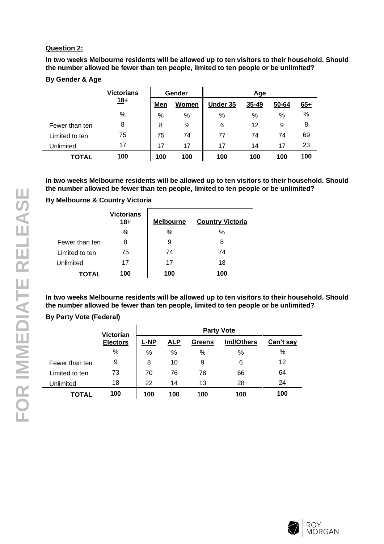#### **Question 2:**

**In two weeks Melbourne residents will be allowed up to ten visitors to their household. Should the number allowed be fewer than ten people, limited to ten people or be unlimited?**

#### **By Gender & Age**

|                | <b>Victorians</b> |     | Gender | Age      |       |       |            |
|----------------|-------------------|-----|--------|----------|-------|-------|------------|
|                | $18+$             | Men | Women  | Under 35 | 35-49 | 50-64 | <u>65+</u> |
|                | %                 | %   | $\%$   | %        | %     | %     | $\%$       |
| Fewer than ten | 8                 | 8   | 9      | 6        | 12    | 9     | 8          |
| Limited to ten | 75                | 75  | 74     | 77       | 74    | 74    | 69         |
| Unlimited      | 17                | 17  | 17     | 17       | 14    | 17    | 23         |
| <b>TOTAL</b>   | 100               | 100 | 100    | 100      | 100   | 100   | 100        |

**In two weeks Melbourne residents will be allowed up to ten visitors to their household. Should the number allowed be fewer than ten people, limited to ten people or be unlimited?**

# **By Melbourne & Country Victoria**

|                | <b>Victorians</b><br>$18+$ | <b>Melbourne</b> | <b>Country Victoria</b> |
|----------------|----------------------------|------------------|-------------------------|
|                | $\%$                       | %                | %                       |
| Fewer than ten | 8                          | 9                | 8                       |
| Limited to ten | 75                         | 74               | 74                      |
| Unlimited      | 17                         | 17               | 18                      |
| <b>TOTAL</b>   | 100                        | 100              | 100                     |

**In two weeks Melbourne residents will be allowed up to ten visitors to their household. Should the number allowed be fewer than ten people, limited to ten people or be unlimited?**

## **By Party Vote (Federal)**

|                | <b>Victorian</b> | <b>Party Vote</b> |            |               |            |           |  |
|----------------|------------------|-------------------|------------|---------------|------------|-----------|--|
|                | <b>Electors</b>  | $L-MP$            | <b>ALP</b> | <b>Greens</b> | Ind/Others | Can't say |  |
|                | %                | %                 | $\%$       | %             | %          | %         |  |
| Fewer than ten | 9                | 8                 | 10         | 9             | 6          | 12        |  |
| Limited to ten | 73               | 70                | 76         | 78            | 66         | 64        |  |
| Unlimited      | 18               | 22                | 14         | 13            | 28         | 24        |  |
| <b>TOTAL</b>   | 100              | 100               | 100        | 100           | 100        | 100       |  |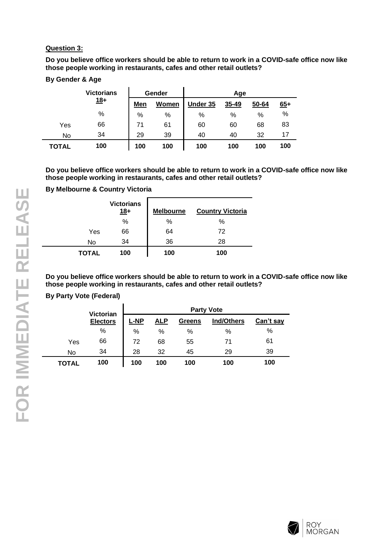## **Question 3:**

**Do you believe office workers should be able to return to work in a COVID-safe office now like those people working in restaurants, cafes and other retail outlets?**

# **By Gender & Age**

|       | <b>Victorians</b> | Gender |       | Age      |       |       |       |
|-------|-------------------|--------|-------|----------|-------|-------|-------|
|       | $18+$             | Men    | Women | Under 35 | 35-49 | 50-64 | $65+$ |
|       | $\%$              | $\%$   | $\%$  | %        | %     | %     | $\%$  |
| Yes   | 66                | 71     | 61    | 60       | 60    | 68    | 83    |
| No    | 34                | 29     | 39    | 40       | 40    | 32    | 17    |
| TOTAL | 100               | 100    | 100   | 100      | 100   | 100   | 100   |

**Do you believe office workers should be able to return to work in a COVID-safe office now like those people working in restaurants, cafes and other retail outlets?**

# **By Melbourne & Country Victoria**

|       | <b>Victorians</b><br>$18+$ | <b>Melbourne</b> | <b>Country Victoria</b> |
|-------|----------------------------|------------------|-------------------------|
|       | %                          | %                | %                       |
| Yes   | 66                         | 64               | 72                      |
| No    | 34                         | 36               | 28                      |
| TOTAL | 100                        | 100              | 100                     |

**Do you believe office workers should be able to return to work in a COVID-safe office now like those people working in restaurants, cafes and other retail outlets?**

# **By Party Vote (Federal)**

|       | Victorian       |             | <b>Party Vote</b> |               |                   |           |  |
|-------|-----------------|-------------|-------------------|---------------|-------------------|-----------|--|
|       | <b>Electors</b> | <b>L-NP</b> | <u>ALP</u>        | <b>Greens</b> | <b>Ind/Others</b> | Can't say |  |
|       | %               | %           | %                 | %             | %                 | %         |  |
| Yes   | 66              | 72          | 68                | 55            | 71                | 61        |  |
| No    | 34              | 28          | 32                | 45            | 29                | 39        |  |
| TOTAL | 100             | 100         | 100               | 100           | 100               | 100       |  |